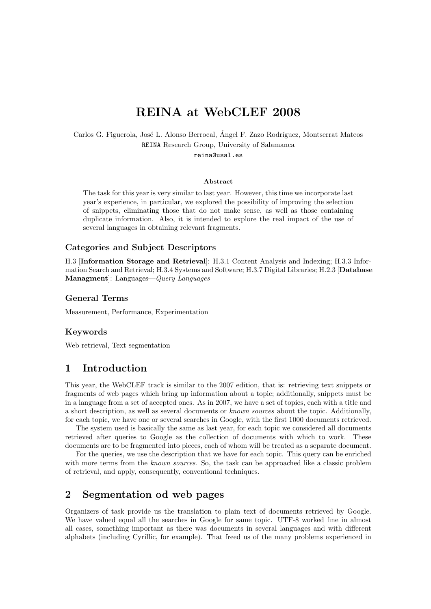# REINA at WebCLEF 2008

Carlos G. Figuerola, José L. Alonso Berrocal, Ángel F. Zazo Rodríguez, Montserrat Mateos REINA Research Group, University of Salamanca

reina@usal.es

#### Abstract

The task for this year is very similar to last year. However, this time we incorporate last year's experience, in particular, we explored the possibility of improving the selection of snippets, eliminating those that do not make sense, as well as those containing duplicate information. Also, it is intended to explore the real impact of the use of several languages in obtaining relevant fragments.

#### Categories and Subject Descriptors

H.3 [Information Storage and Retrieval]: H.3.1 Content Analysis and Indexing; H.3.3 Information Search and Retrieval; H.3.4 Systems and Software; H.3.7 Digital Libraries; H.2.3 [Database Managment]: Languages—Query Languages

#### General Terms

Measurement, Performance, Experimentation

#### Keywords

Web retrieval, Text segmentation

# 1 Introduction

This year, the WebCLEF track is similar to the 2007 edition, that is: retrieving text snippets or fragments of web pages which bring up information about a topic; additionally, snippets must be in a language from a set of accepted ones. As in 2007, we have a set of topics, each with a title and a short description, as well as several documents or known sources about the topic. Additionally, for each topic, we have one or several searches in Google, with the first 1000 documents retrieved.

The system used is basically the same as last year, for each topic we considered all documents retrieved after queries to Google as the collection of documents with which to work. These documents are to be fragmented into pieces, each of whom will be treated as a separate document.

For the queries, we use the description that we have for each topic. This query can be enriched with more terms from the known sources. So, the task can be approached like a classic problem of retrieval, and apply, consequently, conventional techniques.

## 2 Segmentation od web pages

Organizers of task provide us the translation to plain text of documents retrieved by Google. We have valued equal all the searches in Google for same topic. UTF-8 worked fine in almost all cases, something important as there was documents in several languages and with different alphabets (including Cyrillic, for example). That freed us of the many problems experienced in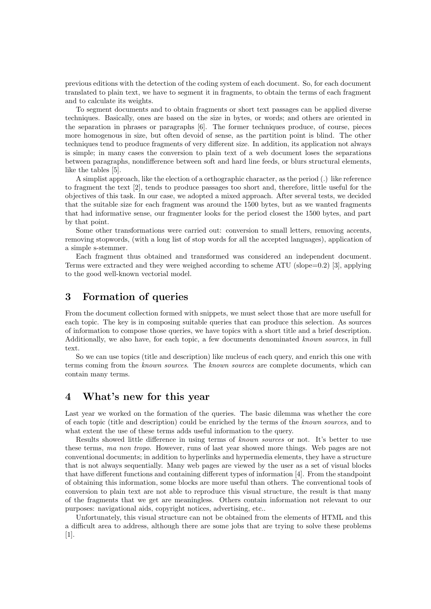previous editions with the detection of the coding system of each document. So, for each document translated to plain text, we have to segment it in fragments, to obtain the terms of each fragment and to calculate its weights.

To segment documents and to obtain fragments or short text passages can be applied diverse techniques. Basically, ones are based on the size in bytes, or words; and others are oriented in the separation in phrases or paragraphs [6]. The former techniques produce, of course, pieces more homogenous in size, but often devoid of sense, as the partition point is blind. The other techniques tend to produce fragments of very different size. In addition, its application not always is simple; in many cases the conversion to plain text of a web document loses the separations between paragraphs, nondifference between soft and hard line feeds, or blurs structural elements, like the tables [5].

A simplist approach, like the election of a orthographic character, as the period (.) like reference to fragment the text [2], tends to produce passages too short and, therefore, little useful for the objectives of this task. In our case, we adopted a mixed approach. After several tests, we decided that the suitable size for each fragment was around the 1500 bytes, but as we wanted fragments that had informative sense, our fragmenter looks for the period closest the 1500 bytes, and part by that point.

Some other transformations were carried out: conversion to small letters, removing accents, removing stopwords, (with a long list of stop words for all the accepted languages), application of a simple s-stemmer.

Each fragment thus obtained and transformed was considered an independent document. Terms were extracted and they were weighed according to scheme ATU (slope=0.2) [3], applying to the good well-known vectorial model.

### 3 Formation of queries

From the document collection formed with snippets, we must select those that are more usefull for each topic. The key is in composing suitable queries that can produce this selection. As sources of information to compose those queries, we have topics with a short title and a brief description. Additionally, we also have, for each topic, a few documents denominated known sources, in full text.

So we can use topics (title and description) like nucleus of each query, and enrich this one with terms coming from the known sources. The known sources are complete documents, which can contain many terms.

### 4 What's new for this year

Last year we worked on the formation of the queries. The basic dilemma was whether the core of each topic (title and description) could be enriched by the terms of the known sources, and to what extent the use of these terms adds useful information to the query.

Results showed little difference in using terms of known sources or not. It's better to use these terms, ma non tropo. However, runs of last year showed more things. Web pages are not conventional documents; in addition to hyperlinks and hypermedia elements, they have a structure that is not always sequentially. Many web pages are viewed by the user as a set of visual blocks that have different functions and containing different types of information [4]. From the standpoint of obtaining this information, some blocks are more useful than others. The conventional tools of conversion to plain text are not able to reproduce this visual structure, the result is that many of the fragments that we get are meaningless. Others contain information not relevant to our purposes: navigational aids, copyright notices, advertising, etc..

Unfortunately, this visual structure can not be obtained from the elements of HTML and this a difficult area to address, although there are some jobs that are trying to solve these problems [1].